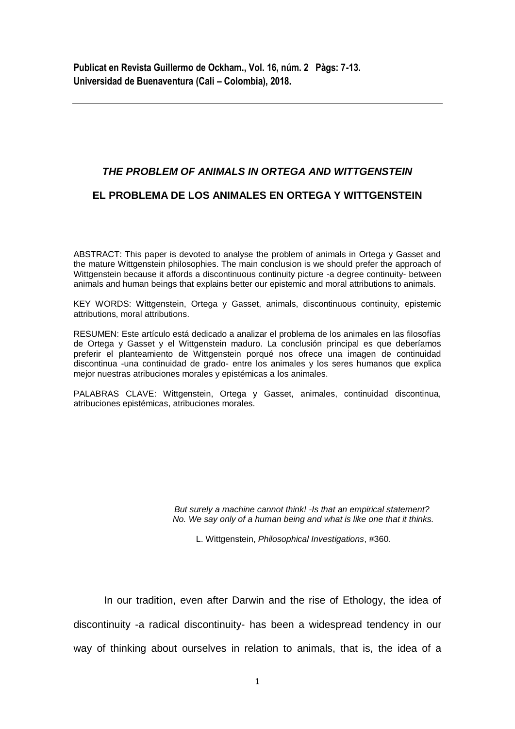## *THE PROBLEM OF ANIMALS IN ORTEGA AND WITTGENSTEIN* **EL PROBLEMA DE LOS ANIMALES EN ORTEGA Y WITTGENSTEIN**

ABSTRACT: This paper is devoted to analyse the problem of animals in Ortega y Gasset and the mature Wittgenstein philosophies. The main conclusion is we should prefer the approach of Wittgenstein because it affords a discontinuous continuity picture -a degree continuity- between animals and human beings that explains better our epistemic and moral attributions to animals.

KEY WORDS: Wittgenstein, Ortega y Gasset, animals, discontinuous continuity, epistemic attributions, moral attributions.

RESUMEN: Este artículo está dedicado a analizar el problema de los animales en las filosofías de Ortega y Gasset y el Wittgenstein maduro. La conclusión principal es que deberíamos preferir el planteamiento de Wittgenstein porqué nos ofrece una imagen de continuidad discontinua -una continuidad de grado- entre los animales y los seres humanos que explica mejor nuestras atribuciones morales y epistémicas a los animales.

PALABRAS CLAVE: Wittgenstein, Ortega y Gasset, animales, continuidad discontinua, atribuciones epistémicas, atribuciones morales.

> *But surely a machine cannot think! -Is that an empirical statement? No. We say only of a human being and what is like one that it thinks.*

L. Wittgenstein, *Philosophical Investigations*, #360.

In our tradition, even after Darwin and the rise of Ethology, the idea of discontinuity -a radical discontinuity- has been a widespread tendency in our way of thinking about ourselves in relation to animals, that is, the idea of a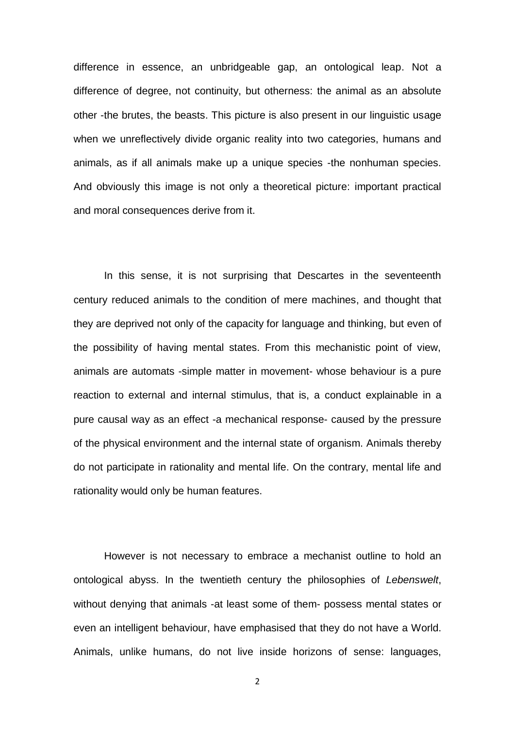difference in essence, an unbridgeable gap, an ontological leap. Not a difference of degree, not continuity, but otherness: the animal as an absolute other -the brutes, the beasts. This picture is also present in our linguistic usage when we unreflectively divide organic reality into two categories, humans and animals, as if all animals make up a unique species -the nonhuman species. And obviously this image is not only a theoretical picture: important practical and moral consequences derive from it.

In this sense, it is not surprising that Descartes in the seventeenth century reduced animals to the condition of mere machines, and thought that they are deprived not only of the capacity for language and thinking, but even of the possibility of having mental states. From this mechanistic point of view, animals are automats -simple matter in movement- whose behaviour is a pure reaction to external and internal stimulus, that is, a conduct explainable in a pure causal way as an effect -a mechanical response- caused by the pressure of the physical environment and the internal state of organism. Animals thereby do not participate in rationality and mental life. On the contrary, mental life and rationality would only be human features.

However is not necessary to embrace a mechanist outline to hold an ontological abyss. In the twentieth century the philosophies of *Lebenswelt*, without denying that animals -at least some of them- possess mental states or even an intelligent behaviour, have emphasised that they do not have a World. Animals, unlike humans, do not live inside horizons of sense: languages,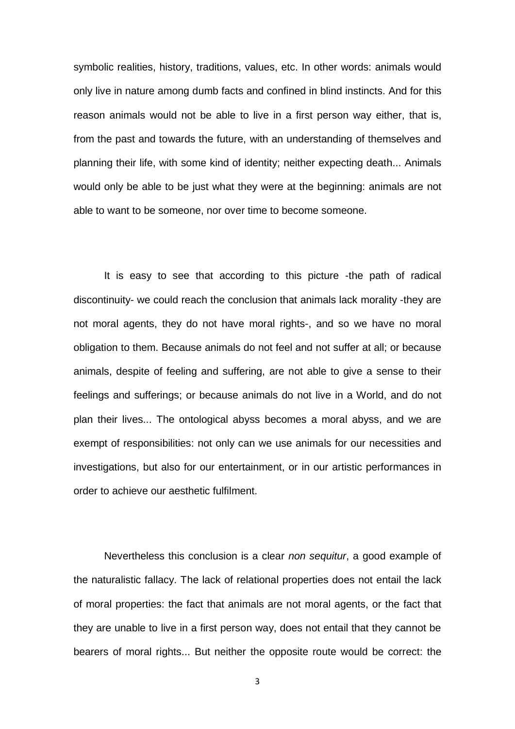symbolic realities, history, traditions, values, etc. In other words: animals would only live in nature among dumb facts and confined in blind instincts. And for this reason animals would not be able to live in a first person way either, that is, from the past and towards the future, with an understanding of themselves and planning their life, with some kind of identity; neither expecting death... Animals would only be able to be just what they were at the beginning: animals are not able to want to be someone, nor over time to become someone.

It is easy to see that according to this picture -the path of radical discontinuity- we could reach the conclusion that animals lack morality -they are not moral agents, they do not have moral rights-, and so we have no moral obligation to them. Because animals do not feel and not suffer at all; or because animals, despite of feeling and suffering, are not able to give a sense to their feelings and sufferings; or because animals do not live in a World, and do not plan their lives... The ontological abyss becomes a moral abyss, and we are exempt of responsibilities: not only can we use animals for our necessities and investigations, but also for our entertainment, or in our artistic performances in order to achieve our aesthetic fulfilment.

Nevertheless this conclusion is a clear *non sequitur*, a good example of the naturalistic fallacy. The lack of relational properties does not entail the lack of moral properties: the fact that animals are not moral agents, or the fact that they are unable to live in a first person way, does not entail that they cannot be bearers of moral rights... But neither the opposite route would be correct: the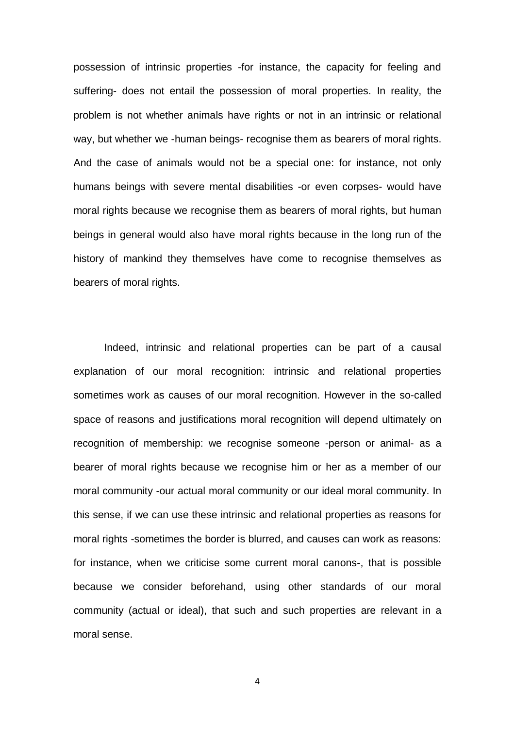possession of intrinsic properties -for instance, the capacity for feeling and suffering- does not entail the possession of moral properties. In reality, the problem is not whether animals have rights or not in an intrinsic or relational way, but whether we -human beings- recognise them as bearers of moral rights. And the case of animals would not be a special one: for instance, not only humans beings with severe mental disabilities -or even corpses- would have moral rights because we recognise them as bearers of moral rights, but human beings in general would also have moral rights because in the long run of the history of mankind they themselves have come to recognise themselves as bearers of moral rights.

Indeed, intrinsic and relational properties can be part of a causal explanation of our moral recognition: intrinsic and relational properties sometimes work as causes of our moral recognition. However in the so-called space of reasons and justifications moral recognition will depend ultimately on recognition of membership: we recognise someone -person or animal- as a bearer of moral rights because we recognise him or her as a member of our moral community -our actual moral community or our ideal moral community. In this sense, if we can use these intrinsic and relational properties as reasons for moral rights -sometimes the border is blurred, and causes can work as reasons: for instance, when we criticise some current moral canons-, that is possible because we consider beforehand, using other standards of our moral community (actual or ideal), that such and such properties are relevant in a moral sense.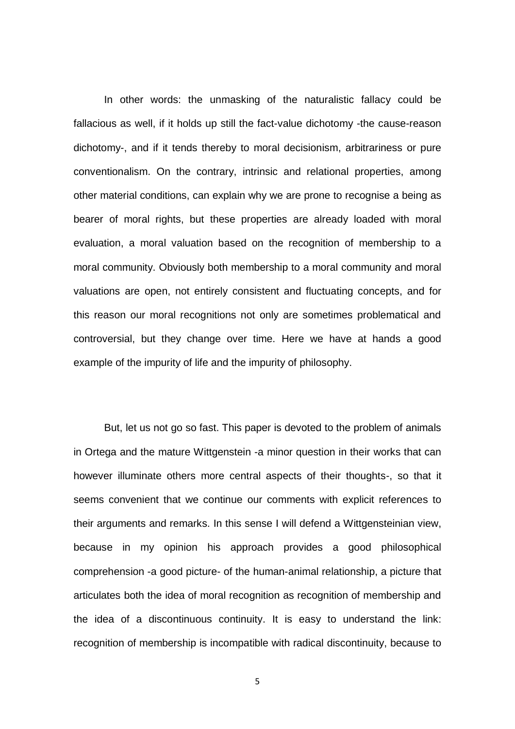In other words: the unmasking of the naturalistic fallacy could be fallacious as well, if it holds up still the fact-value dichotomy -the cause-reason dichotomy-, and if it tends thereby to moral decisionism, arbitrariness or pure conventionalism. On the contrary, intrinsic and relational properties, among other material conditions, can explain why we are prone to recognise a being as bearer of moral rights, but these properties are already loaded with moral evaluation, a moral valuation based on the recognition of membership to a moral community. Obviously both membership to a moral community and moral valuations are open, not entirely consistent and fluctuating concepts, and for this reason our moral recognitions not only are sometimes problematical and controversial, but they change over time. Here we have at hands a good example of the impurity of life and the impurity of philosophy.

But, let us not go so fast. This paper is devoted to the problem of animals in Ortega and the mature Wittgenstein -a minor question in their works that can however illuminate others more central aspects of their thoughts-, so that it seems convenient that we continue our comments with explicit references to their arguments and remarks. In this sense I will defend a Wittgensteinian view, because in my opinion his approach provides a good philosophical comprehension -a good picture- of the human-animal relationship, a picture that articulates both the idea of moral recognition as recognition of membership and the idea of a discontinuous continuity. It is easy to understand the link: recognition of membership is incompatible with radical discontinuity, because to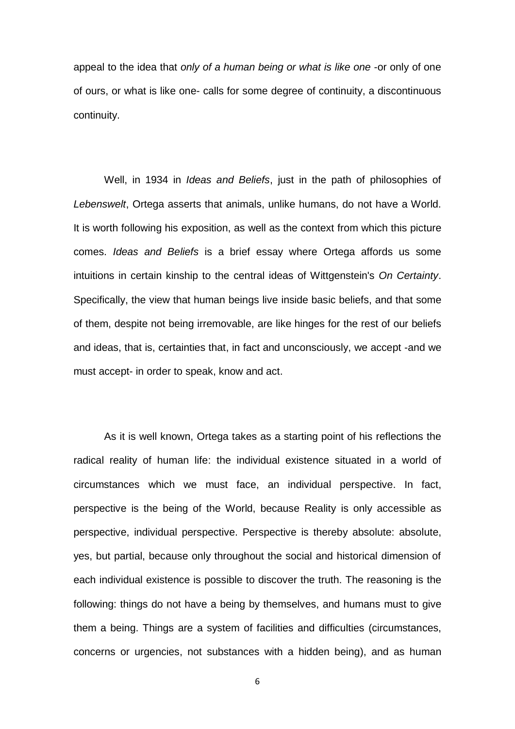appeal to the idea that *only of a human being or what is like one* -or only of one of ours, or what is like one- calls for some degree of continuity, a discontinuous continuity.

Well, in 1934 in *Ideas and Beliefs*, just in the path of philosophies of *Lebenswelt*, Ortega asserts that animals, unlike humans, do not have a World. It is worth following his exposition, as well as the context from which this picture comes. *Ideas and Beliefs* is a brief essay where Ortega affords us some intuitions in certain kinship to the central ideas of Wittgenstein's *On Certainty*. Specifically, the view that human beings live inside basic beliefs, and that some of them, despite not being irremovable, are like hinges for the rest of our beliefs and ideas, that is, certainties that, in fact and unconsciously, we accept -and we must accept- in order to speak, know and act.

As it is well known, Ortega takes as a starting point of his reflections the radical reality of human life: the individual existence situated in a world of circumstances which we must face, an individual perspective. In fact, perspective is the being of the World, because Reality is only accessible as perspective, individual perspective. Perspective is thereby absolute: absolute, yes, but partial, because only throughout the social and historical dimension of each individual existence is possible to discover the truth. The reasoning is the following: things do not have a being by themselves, and humans must to give them a being. Things are a system of facilities and difficulties (circumstances, concerns or urgencies, not substances with a hidden being), and as human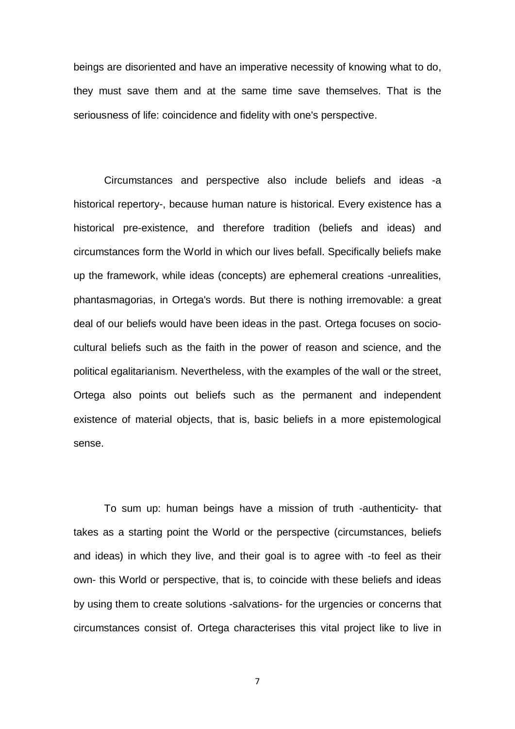beings are disoriented and have an imperative necessity of knowing what to do, they must save them and at the same time save themselves. That is the seriousness of life: coincidence and fidelity with one's perspective.

Circumstances and perspective also include beliefs and ideas -a historical repertory-, because human nature is historical. Every existence has a historical pre-existence, and therefore tradition (beliefs and ideas) and circumstances form the World in which our lives befall. Specifically beliefs make up the framework, while ideas (concepts) are ephemeral creations -unrealities, phantasmagorias, in Ortega's words. But there is nothing irremovable: a great deal of our beliefs would have been ideas in the past. Ortega focuses on sociocultural beliefs such as the faith in the power of reason and science, and the political egalitarianism. Nevertheless, with the examples of the wall or the street, Ortega also points out beliefs such as the permanent and independent existence of material objects, that is, basic beliefs in a more epistemological sense.

To sum up: human beings have a mission of truth -authenticity- that takes as a starting point the World or the perspective (circumstances, beliefs and ideas) in which they live, and their goal is to agree with -to feel as their own- this World or perspective, that is, to coincide with these beliefs and ideas by using them to create solutions -salvations- for the urgencies or concerns that circumstances consist of. Ortega characterises this vital project like to live in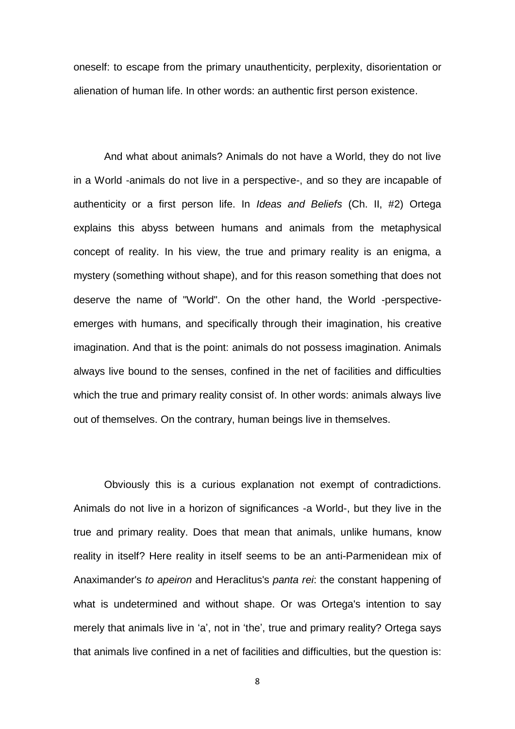oneself: to escape from the primary unauthenticity, perplexity, disorientation or alienation of human life. In other words: an authentic first person existence.

And what about animals? Animals do not have a World, they do not live in a World -animals do not live in a perspective-, and so they are incapable of authenticity or a first person life. In *Ideas and Beliefs* (Ch. II, #2) Ortega explains this abyss between humans and animals from the metaphysical concept of reality. In his view, the true and primary reality is an enigma, a mystery (something without shape), and for this reason something that does not deserve the name of "World". On the other hand, the World -perspectiveemerges with humans, and specifically through their imagination, his creative imagination. And that is the point: animals do not possess imagination. Animals always live bound to the senses, confined in the net of facilities and difficulties which the true and primary reality consist of. In other words: animals always live out of themselves. On the contrary, human beings live in themselves.

Obviously this is a curious explanation not exempt of contradictions. Animals do not live in a horizon of significances -a World-, but they live in the true and primary reality. Does that mean that animals, unlike humans, know reality in itself? Here reality in itself seems to be an anti-Parmenidean mix of Anaximander's *to apeiron* and Heraclitus's *panta rei*: the constant happening of what is undetermined and without shape. Or was Ortega's intention to say merely that animals live in 'a', not in 'the', true and primary reality? Ortega says that animals live confined in a net of facilities and difficulties, but the question is: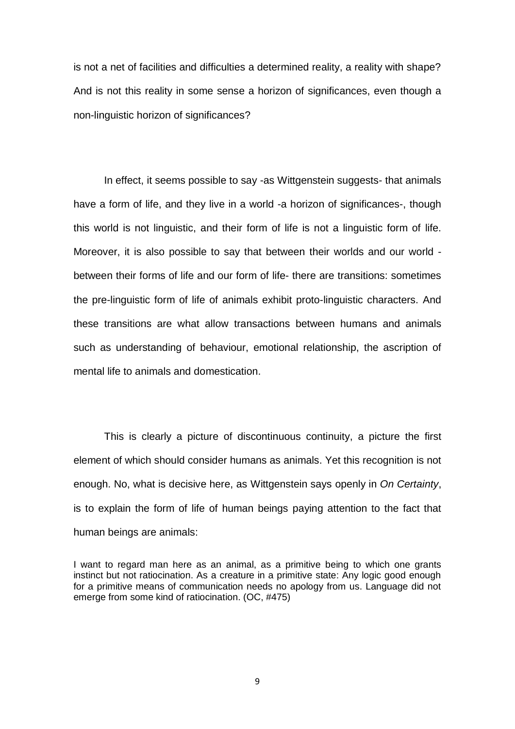is not a net of facilities and difficulties a determined reality, a reality with shape? And is not this reality in some sense a horizon of significances, even though a non-linguistic horizon of significances?

In effect, it seems possible to say -as Wittgenstein suggests- that animals have a form of life, and they live in a world -a horizon of significances-, though this world is not linguistic, and their form of life is not a linguistic form of life. Moreover, it is also possible to say that between their worlds and our world between their forms of life and our form of life- there are transitions: sometimes the pre-linguistic form of life of animals exhibit proto-linguistic characters. And these transitions are what allow transactions between humans and animals such as understanding of behaviour, emotional relationship, the ascription of mental life to animals and domestication.

This is clearly a picture of discontinuous continuity, a picture the first element of which should consider humans as animals. Yet this recognition is not enough. No, what is decisive here, as Wittgenstein says openly in *On Certainty*, is to explain the form of life of human beings paying attention to the fact that human beings are animals:

I want to regard man here as an animal, as a primitive being to which one grants instinct but not ratiocination. As a creature in a primitive state: Any logic good enough for a primitive means of communication needs no apology from us. Language did not emerge from some kind of ratiocination. (OC, #475)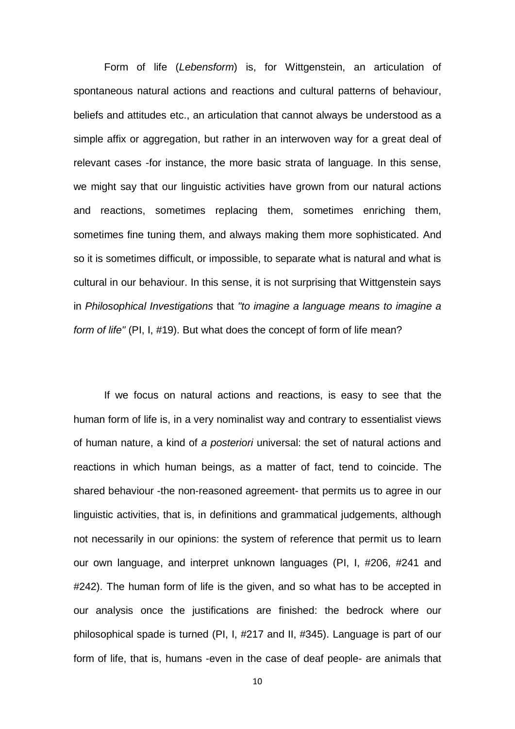Form of life (*Lebensform*) is, for Wittgenstein, an articulation of spontaneous natural actions and reactions and cultural patterns of behaviour, beliefs and attitudes etc., an articulation that cannot always be understood as a simple affix or aggregation, but rather in an interwoven way for a great deal of relevant cases -for instance, the more basic strata of language. In this sense, we might say that our linguistic activities have grown from our natural actions and reactions, sometimes replacing them, sometimes enriching them, sometimes fine tuning them, and always making them more sophisticated. And so it is sometimes difficult, or impossible, to separate what is natural and what is cultural in our behaviour. In this sense, it is not surprising that Wittgenstein says in *Philosophical Investigations* that *"to imagine a language means to imagine a form of life"* (PI, I, #19). But what does the concept of form of life mean?

If we focus on natural actions and reactions, is easy to see that the human form of life is, in a very nominalist way and contrary to essentialist views of human nature, a kind of *a posteriori* universal: the set of natural actions and reactions in which human beings, as a matter of fact, tend to coincide. The shared behaviour -the non-reasoned agreement- that permits us to agree in our linguistic activities, that is, in definitions and grammatical judgements, although not necessarily in our opinions: the system of reference that permit us to learn our own language, and interpret unknown languages (PI, I, #206, #241 and #242). The human form of life is the given, and so what has to be accepted in our analysis once the justifications are finished: the bedrock where our philosophical spade is turned (PI, I, #217 and II, #345). Language is part of our form of life, that is, humans -even in the case of deaf people- are animals that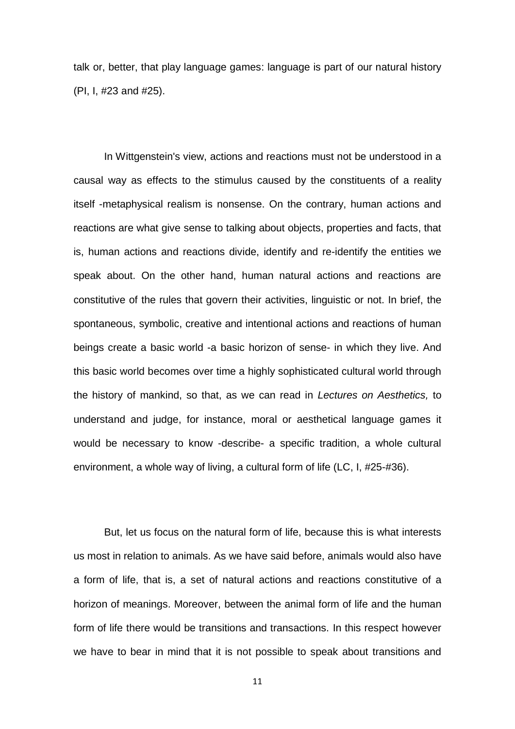talk or, better, that play language games: language is part of our natural history (PI, I, #23 and #25).

In Wittgenstein's view, actions and reactions must not be understood in a causal way as effects to the stimulus caused by the constituents of a reality itself -metaphysical realism is nonsense. On the contrary, human actions and reactions are what give sense to talking about objects, properties and facts, that is, human actions and reactions divide, identify and re-identify the entities we speak about. On the other hand, human natural actions and reactions are constitutive of the rules that govern their activities, linguistic or not. In brief, the spontaneous, symbolic, creative and intentional actions and reactions of human beings create a basic world -a basic horizon of sense- in which they live. And this basic world becomes over time a highly sophisticated cultural world through the history of mankind, so that, as we can read in *Lectures on Aesthetics,* to understand and judge, for instance, moral or aesthetical language games it would be necessary to know -describe- a specific tradition, a whole cultural environment, a whole way of living, a cultural form of life (LC, I, #25-#36).

But, let us focus on the natural form of life, because this is what interests us most in relation to animals. As we have said before, animals would also have a form of life, that is, a set of natural actions and reactions constitutive of a horizon of meanings. Moreover, between the animal form of life and the human form of life there would be transitions and transactions. In this respect however we have to bear in mind that it is not possible to speak about transitions and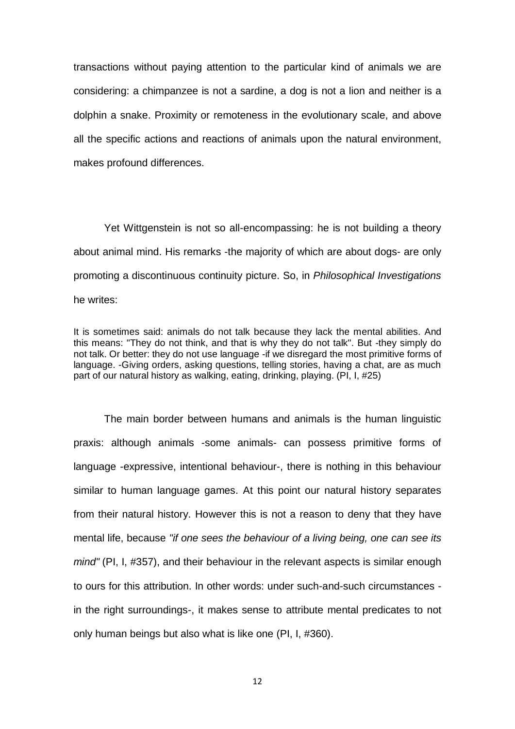transactions without paying attention to the particular kind of animals we are considering: a chimpanzee is not a sardine, a dog is not a lion and neither is a dolphin a snake. Proximity or remoteness in the evolutionary scale, and above all the specific actions and reactions of animals upon the natural environment, makes profound differences.

Yet Wittgenstein is not so all-encompassing: he is not building a theory about animal mind. His remarks -the majority of which are about dogs- are only promoting a discontinuous continuity picture. So, in *Philosophical Investigations* he writes:

It is sometimes said: animals do not talk because they lack the mental abilities. And this means: "They do not think, and that is why they do not talk". But -they simply do not talk. Or better: they do not use language -if we disregard the most primitive forms of language. -Giving orders, asking questions, telling stories, having a chat, are as much part of our natural history as walking, eating, drinking, playing. (PI, I, #25)

The main border between humans and animals is the human linguistic praxis: although animals -some animals- can possess primitive forms of language -expressive, intentional behaviour-, there is nothing in this behaviour similar to human language games. At this point our natural history separates from their natural history. However this is not a reason to deny that they have mental life, because *"if one sees the behaviour of a living being, one can see its mind"* (PI, I, #357), and their behaviour in the relevant aspects is similar enough to ours for this attribution. In other words: under such-and-such circumstances in the right surroundings-, it makes sense to attribute mental predicates to not only human beings but also what is like one (PI, I, #360).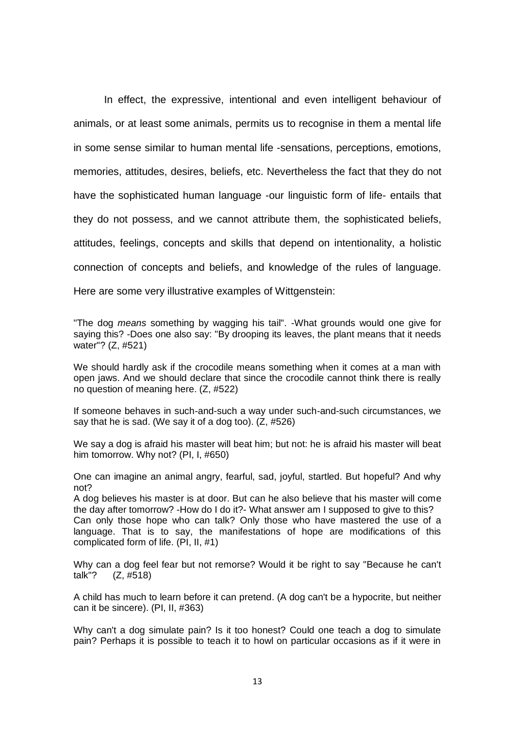In effect, the expressive, intentional and even intelligent behaviour of animals, or at least some animals, permits us to recognise in them a mental life in some sense similar to human mental life -sensations, perceptions, emotions, memories, attitudes, desires, beliefs, etc. Nevertheless the fact that they do not have the sophisticated human language -our linguistic form of life- entails that they do not possess, and we cannot attribute them, the sophisticated beliefs, attitudes, feelings, concepts and skills that depend on intentionality, a holistic connection of concepts and beliefs, and knowledge of the rules of language.

Here are some very illustrative examples of Wittgenstein:

"The dog *means* something by wagging his tail". -What grounds would one give for saying this? -Does one also say: "By drooping its leaves, the plant means that it needs water"? (Z, #521)

We should hardly ask if the crocodile means something when it comes at a man with open jaws. And we should declare that since the crocodile cannot think there is really no question of meaning here. (Z, #522)

If someone behaves in such-and-such a way under such-and-such circumstances, we say that he is sad. (We say it of a dog too). (Z, #526)

We say a dog is afraid his master will beat him; but not: he is afraid his master will beat him tomorrow. Why not? (PI, I, #650)

One can imagine an animal angry, fearful, sad, joyful, startled. But hopeful? And why not?

A dog believes his master is at door. But can he also believe that his master will come the day after tomorrow? -How do I do it?- What answer am I supposed to give to this? Can only those hope who can talk? Only those who have mastered the use of a language. That is to say, the manifestations of hope are modifications of this complicated form of life. (PI, II, #1)

Why can a dog feel fear but not remorse? Would it be right to say "Because he can't talk"? (Z, #518)

A child has much to learn before it can pretend. (A dog can't be a hypocrite, but neither can it be sincere). (PI, II, #363)

Why can't a dog simulate pain? Is it too honest? Could one teach a dog to simulate pain? Perhaps it is possible to teach it to howl on particular occasions as if it were in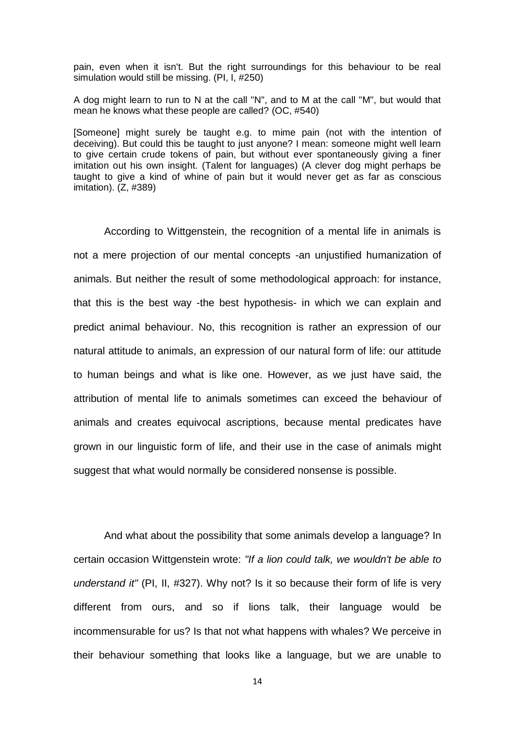pain, even when it isn't. But the right surroundings for this behaviour to be real simulation would still be missing. (PI, I, #250)

A dog might learn to run to N at the call "N", and to M at the call "M", but would that mean he knows what these people are called? (OC, #540)

[Someone] might surely be taught e.g. to mime pain (not with the intention of deceiving). But could this be taught to just anyone? I mean: someone might well learn to give certain crude tokens of pain, but without ever spontaneously giving a finer imitation out his own insight. (Talent for languages) (A clever dog might perhaps be taught to give a kind of whine of pain but it would never get as far as conscious imitation). (Z, #389)

According to Wittgenstein, the recognition of a mental life in animals is not a mere projection of our mental concepts -an unjustified humanization of animals. But neither the result of some methodological approach: for instance, that this is the best way -the best hypothesis- in which we can explain and predict animal behaviour. No, this recognition is rather an expression of our natural attitude to animals, an expression of our natural form of life: our attitude to human beings and what is like one. However, as we just have said, the attribution of mental life to animals sometimes can exceed the behaviour of animals and creates equivocal ascriptions, because mental predicates have grown in our linguistic form of life, and their use in the case of animals might suggest that what would normally be considered nonsense is possible.

And what about the possibility that some animals develop a language? In certain occasion Wittgenstein wrote: *"If a lion could talk, we wouldn't be able to understand it"* (PI, II, #327). Why not? Is it so because their form of life is very different from ours, and so if lions talk, their language would be incommensurable for us? Is that not what happens with whales? We perceive in their behaviour something that looks like a language, but we are unable to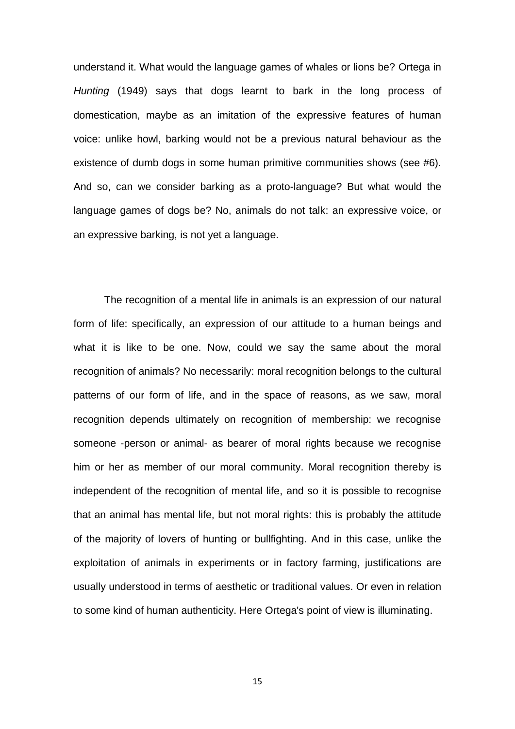understand it. What would the language games of whales or lions be? Ortega in *Hunting* (1949) says that dogs learnt to bark in the long process of domestication, maybe as an imitation of the expressive features of human voice: unlike howl, barking would not be a previous natural behaviour as the existence of dumb dogs in some human primitive communities shows (see #6). And so, can we consider barking as a proto-language? But what would the language games of dogs be? No, animals do not talk: an expressive voice, or an expressive barking, is not yet a language.

The recognition of a mental life in animals is an expression of our natural form of life: specifically, an expression of our attitude to a human beings and what it is like to be one. Now, could we say the same about the moral recognition of animals? No necessarily: moral recognition belongs to the cultural patterns of our form of life, and in the space of reasons, as we saw, moral recognition depends ultimately on recognition of membership: we recognise someone -person or animal- as bearer of moral rights because we recognise him or her as member of our moral community. Moral recognition thereby is independent of the recognition of mental life, and so it is possible to recognise that an animal has mental life, but not moral rights: this is probably the attitude of the majority of lovers of hunting or bullfighting. And in this case, unlike the exploitation of animals in experiments or in factory farming, justifications are usually understood in terms of aesthetic or traditional values. Or even in relation to some kind of human authenticity. Here Ortega's point of view is illuminating.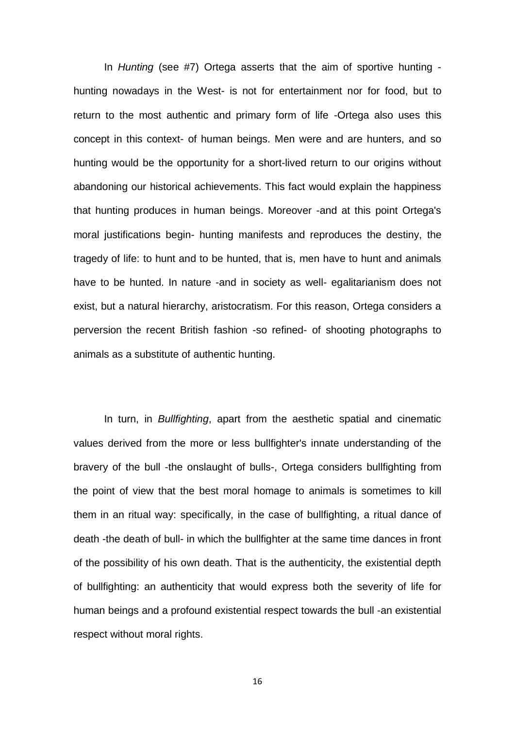In *Hunting* (see #7) Ortega asserts that the aim of sportive hunting hunting nowadays in the West- is not for entertainment nor for food, but to return to the most authentic and primary form of life -Ortega also uses this concept in this context- of human beings. Men were and are hunters, and so hunting would be the opportunity for a short-lived return to our origins without abandoning our historical achievements. This fact would explain the happiness that hunting produces in human beings. Moreover -and at this point Ortega's moral justifications begin- hunting manifests and reproduces the destiny, the tragedy of life: to hunt and to be hunted, that is, men have to hunt and animals have to be hunted. In nature -and in society as well- egalitarianism does not exist, but a natural hierarchy, aristocratism. For this reason, Ortega considers a perversion the recent British fashion -so refined- of shooting photographs to animals as a substitute of authentic hunting.

In turn, in *Bullfighting*, apart from the aesthetic spatial and cinematic values derived from the more or less bullfighter's innate understanding of the bravery of the bull -the onslaught of bulls-, Ortega considers bullfighting from the point of view that the best moral homage to animals is sometimes to kill them in an ritual way: specifically, in the case of bullfighting, a ritual dance of death -the death of bull- in which the bullfighter at the same time dances in front of the possibility of his own death. That is the authenticity, the existential depth of bullfighting: an authenticity that would express both the severity of life for human beings and a profound existential respect towards the bull -an existential respect without moral rights.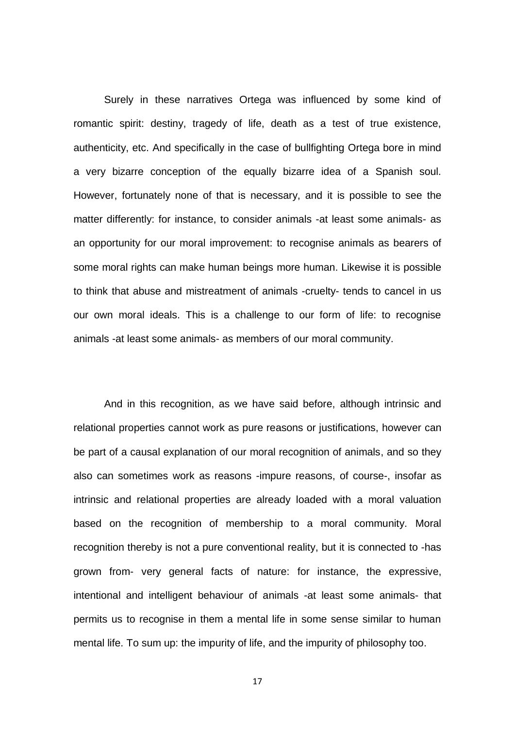Surely in these narratives Ortega was influenced by some kind of romantic spirit: destiny, tragedy of life, death as a test of true existence, authenticity, etc. And specifically in the case of bullfighting Ortega bore in mind a very bizarre conception of the equally bizarre idea of a Spanish soul. However, fortunately none of that is necessary, and it is possible to see the matter differently: for instance, to consider animals -at least some animals- as an opportunity for our moral improvement: to recognise animals as bearers of some moral rights can make human beings more human. Likewise it is possible to think that abuse and mistreatment of animals -cruelty- tends to cancel in us our own moral ideals. This is a challenge to our form of life: to recognise animals -at least some animals- as members of our moral community.

And in this recognition, as we have said before, although intrinsic and relational properties cannot work as pure reasons or justifications, however can be part of a causal explanation of our moral recognition of animals, and so they also can sometimes work as reasons -impure reasons, of course-, insofar as intrinsic and relational properties are already loaded with a moral valuation based on the recognition of membership to a moral community. Moral recognition thereby is not a pure conventional reality, but it is connected to -has grown from- very general facts of nature: for instance, the expressive, intentional and intelligent behaviour of animals -at least some animals- that permits us to recognise in them a mental life in some sense similar to human mental life. To sum up: the impurity of life, and the impurity of philosophy too.